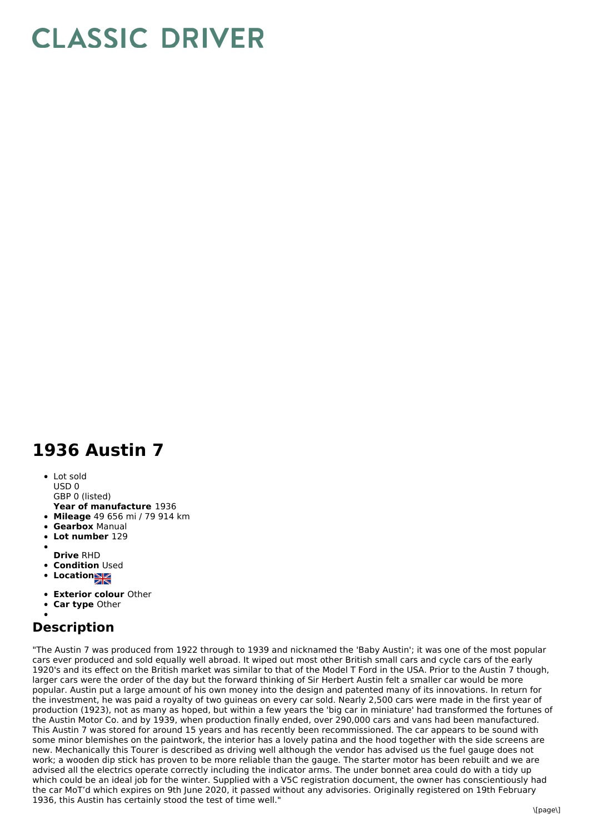## **CLASSIC DRIVER**

## **1936 Austin 7**

Lot sold USD 0 GBP 0 (listed)

- **Year of manufacture** 1936
- **Mileage** 49 656 mi / 79 914 km
- **Gearbox** Manual
- **Lot number** 129
- 
- **Drive** RHD
- **Condition Used**
- **Locations**
- **Exterior colour** Other
- **Car type** Other
- 

## **Description**

"The Austin 7 was produced from 1922 through to 1939 and nicknamed the 'Baby Austin'; it was one of the most popular cars ever produced and sold equally well abroad. It wiped out most other British small cars and cycle cars of the early 1920's and its effect on the British market was similar to that of the Model T Ford in the USA. Prior to the Austin 7 though, larger cars were the order of the day but the forward thinking of Sir Herbert Austin felt a smaller car would be more popular. Austin put a large amount of his own money into the design and patented many of its innovations. In return for the investment, he was paid a royalty of two guineas on every car sold. Nearly 2,500 cars were made in the first year of production (1923), not as many as hoped, but within a few years the 'big car in miniature' had transformed the fortunes of the Austin Motor Co. and by 1939, when production finally ended, over 290,000 cars and vans had been manufactured. This Austin 7 was stored for around 15 years and has recently been recommissioned. The car appears to be sound with some minor blemishes on the paintwork, the interior has a lovely patina and the hood together with the side screens are new. Mechanically this Tourer is described as driving well although the vendor has advised us the fuel gauge does not work; a wooden dip stick has proven to be more reliable than the gauge. The starter motor has been rebuilt and we are advised all the electrics operate correctly including the indicator arms. The under bonnet area could do with a tidy up which could be an ideal job for the winter. Supplied with a V5C registration document, the owner has conscientiously had the car MoT'd which expires on 9th June 2020, it passed without any advisories. Originally registered on 19th February 1936, this Austin has certainly stood the test of time well."